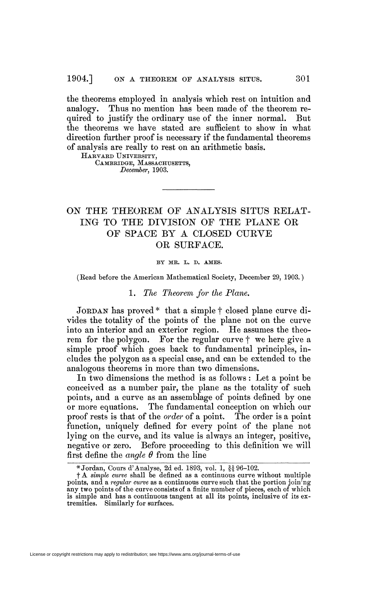the theorems employed in analysis which rest on intuition and analogy. Thus no mention has been made of the theorem required to justify the ordinary use of the inner normal. But the theorems we have stated are sufficient to show in what direction further proof is necessary if the fundamental theorems of analysis are really to rest on an arithmetic basis.

HARVARD UNIVERSITY, CAMBRIDGE, MASSACHUSETTS, *December,* 1903.

# ON THE THEOREM OF ANALYSIS SITUS RELAT-ING TO THE DIVISION OF THE PLANE OR OF SPACE BY A CLOSED CURVE OR SURFACE.

#### BY MR. L. D. AMES.

(Bead before the American Mathematical Society, December 29, 1903. )

### 1. *The Theorem for the Plane.*

JORDAN has proved \* that a simple f closed plane curve divides the totality of the points of the plane not on the curve into an interior and an exterior region. He assumes the theorem for the polygon. For the regular curve f we here give a simple proof which goes back to fundamental principles, includes the polygon as a special case, and can be extended to the analogous theorems in more than two dimensions.

In two dimensions the method is as follows : Let a point be conceived as a number pair, the plane as the totality of such points, and a curve as an assemblage of points defined by one or more equations. The fundamental conception on which our proof rests is that of the *order* of a point. The order is a point function, uniquely defined for every point of the plane not lying on the curve, and its value is always an integer, positive, negative or zero. Before proceeding to this definition we will first define the *angle 0* from the line

<sup>\*</sup> Jordan, Cours d'Analyse, 2d éd. 1893, vol. 1, §§96-102. # f A *simple curve* shall be defined as a continuous curve without multiple points, and a *regular curve* as a continuous curve such that the portion joining any two points of the curve consists of a finite number of pieces, each of which is simple and has a continuous tangent at all its points, inclusive of its extremities. Similarly for surfaces.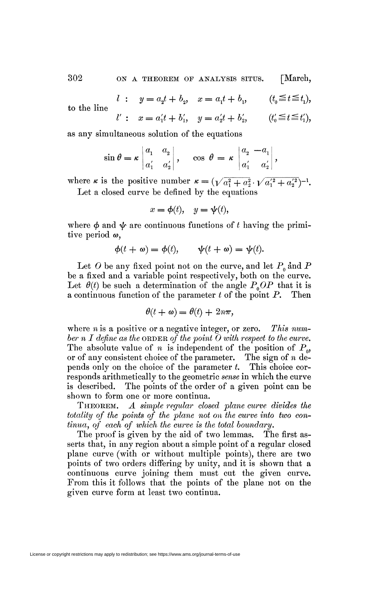302 ON A THEOREM OF ANALYSIS SITUS. [March,

to the line

*l*: 
$$
y = a_2 t + b_2
$$
,  $x = a_1 t + b_1$ ,  $(t_0 \le t \le t_1)$ ,  
\n*l'*:  $x = a'_1 t + b'_1$ ,  $y = a'_2 t + b'_2$ ,  $(t'_0 \le t \le t'_1)$ ,

as any simultaneous solution of the equations

$$
\sin \theta = \kappa \begin{vmatrix} a_1 & a_2 \\ a'_1 & a'_2 \end{vmatrix}, \quad \cos \theta = \kappa \begin{vmatrix} a_2 & -a_1 \\ a'_1 & a'_2 \end{vmatrix},
$$

where *k* is the positive number  $\kappa = (\sqrt{a_1^2 + a_2^2} \cdot \sqrt{a_1'^2 + a_2'^2})^{-1}$ . Let a closed curve be defined by the equations

$$
x = \phi(t), \quad y = \psi(t),
$$

where  $\phi$  and  $\psi$  are continuous functions of t having the primitive period  $\omega$ ,

$$
\phi(t + \omega) = \phi(t), \qquad \psi(t + \omega) = \psi(t).
$$

Let O be any fixed point not on the curve, and let  $P_0$  and P be a fixed and a variable point respectively, both on the curve. Let  $\theta(t)$  be such a determination of the angle  $P_oOP$  that it is a continuous function of the parameter *t* of the point P. Then

$$
\theta(t + \omega) = \theta(t) + 2n\pi,
$$

where *n* is a positive or a negative integer, or zero. *This number n I define as the* ORDER *of the point O with respect to the curve.*  The absolute value of *n* is independent of the position of  $P_{\alpha}$ , or of any consistent choice of the parameter. The sign of *n* depends only on the choice of the parameter *t.* This choice corresponds arithmetically to the geometric *sense* in which the curve is described. The points of the order of a given point can be shown to form one or more continua.

THEOREM. *A simple regular closed plane curve divides the totality of the points of the plane not on the curve into two continua, of each of which the curve is the total boundary.* 

The proof is given by the aid of two lemmas. The first asserts that, in any region about a simple point of a regular closed plane curve (with or without multiple points), there are two points of two orders differing by unity, and it is shown that a continuous curve joining them must cut the given curve. From this it follows that the points of the plane not on the given curve form at least two continua.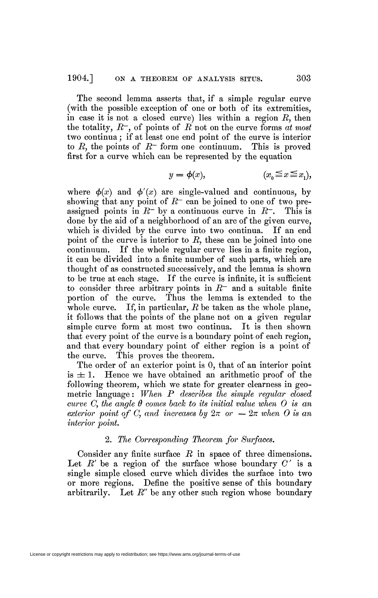The second lemma asserts that, if a simple regular curve (with the possible exception of one or both of its extremities, in case it is not a closed curve) lies within a region *R,* then the totality,  $R^-$ , of points of  $R'$  not on the curve forms  $at$  most two continua ; if at least one end point of the curve is interior to  $R$ , the points of  $R<sup>-</sup>$  form one continuum. This is proved first for a curve which can be represented by the equation

$$
y = \phi(x), \qquad (x_0 \le x \le x_1),
$$

where  $\phi(x)$  and  $\phi'(x)$  are single-valued and continuous, by showing that any point of  $R<sup>-</sup>$  can be joined to one of two preassigned points in  $R^-$  by a continuous curve in  $R^-$ . This is done by the aid of a neighborhood of an arc of the given curve, which is divided by the curve into two continua. If an end point of the curve is interior to *R,* these can be joined into one continuum. If the whole regular curve lies in a finite region, it can be divided into a finite number of such parts, which are thought of as constructed successively, and the lemma is shown to be true at each stage. If the curve is infinite, it is sufficient to consider three arbitrary points in *R~* and a suitable finite portion of the curve. Thus the lemma is extended to the whole curve. If, in particular, R be taken as the whole plane, it follows that the points of the plane not on a given regular simple curve form at most two continua. It is then shown that every point of the curve is a boundary point of each region, and that every boundary point of either region is a point of the curve. This proves the theorem.

The order of an exterior point is 0, that of an interior point is  $\pm 1$ . Hence we have obtained an arithmetic proof of the following theorem, which we state for greater clearness in geometric language : *When P describes the simple regular closed curve O, the angle 6 comes back to its initial value when O is an exterior point of C, and increases by*  $2\pi$  *or*  $-2\pi$  *when O is an interior point.* 

## 2. *The Corresponding Theorem for Surfaces.*

Consider any finite surface *R* in space of three dimensions. Let  $R'$  be a region of the surface whose boundary  $C'$  is a single simple closed curve which divides the surface into two or more regions. Define the positive sense of this boundary arbitrarily. Let *R"* be any other such region whose boundary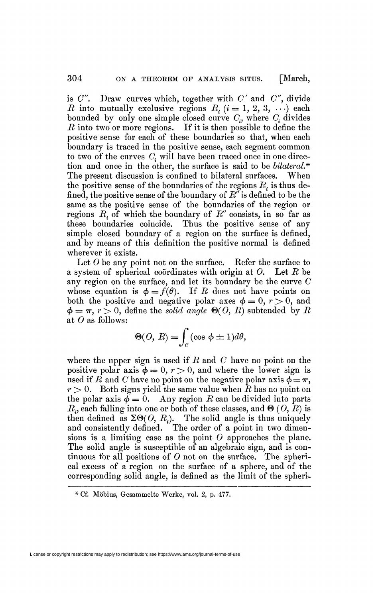is  $C''$ . Draw curves which, together with  $C'$  and  $C''$ , divide *R* into mutually exclusive regions  $R_i$ ,  $(i = 1, 2, 3, \ldots)$  each bounded by only one simple closed curve  $C_i$ , where  $C_i$  divides *R* into two or more regions. If it is then possible to define the positive sense for each of these boundaries so that, when each boundary is traced in the positive sense, each segment common to two of the curves  $C_i$  will have been traced once in one direction and once in the other, the surface is said to be *bilateral.\**  The present discussion is confined to bilateral surfaces. When the positive sense of the boundaries of the regions *R.* is thus defined, the positive sense of the boundary of *R"* is defined to be the same as the positive sense of the boundaries of the region or regions *R.* of which the boundary of *R"* consists, in so far as these boundaries coincide. Thus the positive sense of any simple closed boundary of a region on the surface is defined, and by means of this definition the positive normal is defined wherever it exists.

Let  $O$  be any point not on the surface. Refer the surface to a system of spherical coordinates with origin at 0. Let *R* be any region on the surface, and let its boundary be the curve *C*  whose equation is  $\phi = f(\theta)$ . If R does not have points on both the positive and negative polar axes  $\phi = 0, r > 0$ , and  $\phi = \pi$ ,  $r > 0$ , define the *solid angle*  $\Theta(0, R)$  subtended by R at  $O$  as follows:

$$
\Theta(O,\,R) = \int_C (\cos\,\phi \pm 1)d\theta,
$$

where the upper sign is used if *R* and *C* have no point on the positive polar axis  $\phi = 0, r > 0$ , and where the lower sign is used if *R* and *C* have no point on the negative polar axis  $\phi = \pi$ ,  $r > 0$ . Both signs yield the same value when R has no point on the polar axis  $\phi = 0$ . Any region R can be divided into parts  $R<sub>x</sub>$  each falling into one or both of these classes, and  $\Theta$  (*O*, *R*) is then defined as  $\Sigma \Theta(O, R_i)$ . The solid angle is thus uniquely and consistently defined. The order of a point in two dimensions is a limiting case as the point  $O$  approaches the plane. The solid angle is susceptible of an algebraic sign, and is continuous for all positions of  $O$  not on the surface. The spherical excess of a region on the surface of a sphere, and of the corresponding solid angle, is defined as the limit of the spheri-

License or copyright restrictions may apply to redistribution; see https://www.ams.org/journal-terms-of-use

<sup>\*</sup> Cf. Möbius, Gresammelte Werke, vol. 2, p. 477.